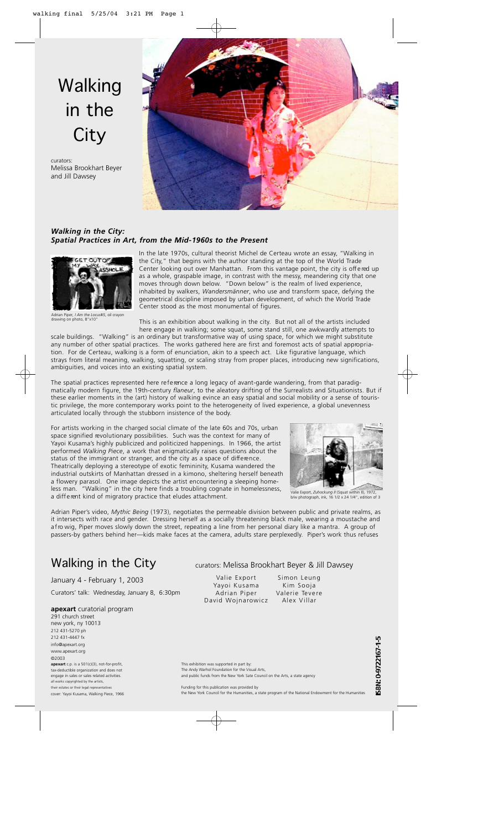# Walking in the **City**

curators: Melissa Brookhart Beyer and Jill Dawsey



### *Walking in the City: Spatial Practices in Art, from the Mid-1960s to the Pre s e n t*



Adrian Piper*, I Am the Locus#5*, oil crayon drawing on photo, 8"x10"

In the late 1970s, cultural theorist Michel de Certeau wrote an essay, "Walking in the City," that begins with the author standing at the top of the World Trade Center looking out over Manhattan. From this vantage point, the city is off e red up as a whole, graspable image, in contrast with the messy, meandering city that one moves through down below. "Down below" is the realm of lived experience, inhabited by walkers, *Wandersmänner*, who use and transform space, defying the geometrical discipline imposed by urban development, of which the World Trade Center stood as the most monumental of figures.

This is an exhibition about walking in the city. But not all of the artists included here engage in walking; some squat, some stand still, one awkwardly attempts to

scale buildings. "Walking" is an ordinary but transformative way of using space, for which we might substitute any number of other spatial practices. The works gathered here are first and foremost acts of spatial appropriation. For de Certeau, walking is a form of enunciation, akin to a speech act. Like figurative language, which strays from literal meaning, walking, squatting, or scaling stray from proper places, introducing new significations, ambiguities, and voices into an existing spatial system.

The spatial practices represented here reference a long legacy of avant-garde wandering, from that paradigmatically modern figure, the 19th-century *flaneur*, to the aleatory drifting of the Surrealists and Situationists. But if these earlier moments in the (art) history of walking evince an easy spatial and social mobility or a sense of touristic privilege, the more contemporary works point to the heterogeneity of lived experience, a global unevenness articulated locally through the stubborn insistence of the body.

For artists working in the charged social climate of the late 60s and 70s, urban space signified revolutionary possibilities. Such was the context for many of Yayoi Kusama's highly publicized and politicized happenings. In 1966, the artist performed *Walking Piece*, a work that enigmatically raises questions about the status of the immigrant or stranger, and the city as a space of difference. Theatrically deploying a stereotype of exotic femininity, Kusama wandered the industrial outskirts of Manhattan dressed in a kimono, sheltering herself beneath a flowery parasol. One image depicts the artist encountering a sleeping homeless man. "Walking" in the city here finds a troubling cognate in homelessness, a different kind of migratory practice that eludes attachment.



Valie Export, *Zuhockung II* (Squat within II), 1972, b/w photograph, ink, 16 1/2 x 24 1/4", edition of 3

Adrian Piper's video, *Mythic Being* (1973), negotiates the permeable division between public and private realms, as it intersects with race and gender. Dressing herself as a socially threatening black male, wearing a moustache and afro wig, Piper moves slowly down the street, repeating a line from her personal diary like a mantra. A group of passers-by gathers behind her—kids make faces at the camera, adults stare perplexedly. Piper's work thus refuses

# Walking in the City

January 4 - February 1, 2003 Curators' talk: Wednesday, January 8, 6:30pm

#### **apexart** curatorial program 291 church street

new york, ny 10013 212 431-5270 ph 212 431-4447 fx info@apexart.org www.apexart.org ©2003 **apexart** c.p. is a 501(c)(3), not-for-profit, tax-deductible organization and does not engage in sales or sales related activities. all works copyrighted by the artists, their estates or their legal representatives

cover: Yayoi Kusama, Walking Piece, 1966

## curators: Melissa Brookhart Beyer & Jill Dawsey

Valie Export Yayoi Kusama Adrian Piper David Wojnarowicz Simon Leung Kim Sooja Valerie Tevere Alex Villar

SBN: 0-9722167-1-5

This exhibition was supported in part by: The Andy Warhol Foundation for the Visual Arts,

and public funds from the New York Sate Council on the Arts, a state agency

Funding for this publication was provided by the New York Council for the Humanities, a state program of the National Endowment for the Humanities